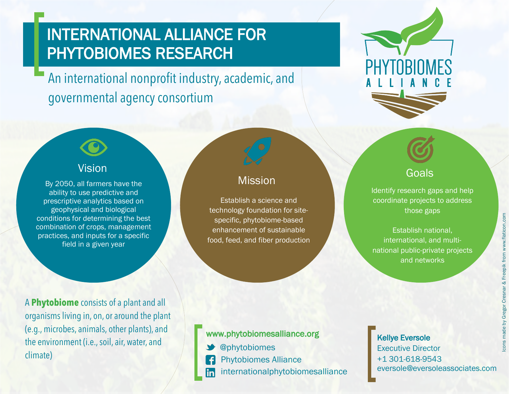# INTERNATIONAL ALLIANCE FOR PHYTOBIOMES RESEARCH

An international nonprofit industry, academic, and governmental agency consortium



By 2050, all farmers have the ability to use predictive and prescriptive analytics based on geophysical and biological conditions for determining the best combination of crops, management practices, and inputs for a specific field in a given year

# **Mission**

Establish a science and technology foundation for sitespecific, phytobiome-based enhancement of sustainable food, feed, and fiber production



Goals Identify research gaps and help coordinate projects to address

those gaps Establish national, international, and multinational public-private projects

and networks

A **Phytobiome** consists of a plant and all organisms living in, on, or around the plant (e.g., microbes, animals, other plants), and the environment (i.e., soil, air, water, and climate)

#### www.phytobiomesalliance.org

- @phytobiomes
- Phytobiomes Alliance  $\vert f \vert$
- internationalphytobiomesalliance lin

### Kellye Eversole Executive Director +1 301-618-9543 eversole@eversoleassociates.com